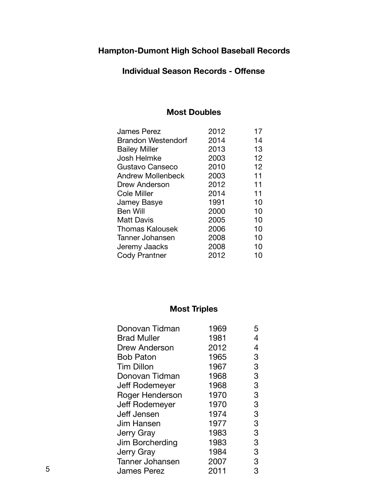#### **Individual Season Records - Offense**

### **Most Doubles**

| <b>James Perez</b>        | 2012 | 17 |
|---------------------------|------|----|
| <b>Brandon Westendorf</b> | 2014 | 14 |
| <b>Bailey Miller</b>      | 2013 | 13 |
| Josh Helmke               | 2003 | 12 |
| Gustavo Canseco           | 2010 | 12 |
| <b>Andrew Mollenbeck</b>  | 2003 | 11 |
| Drew Anderson             | 2012 | 11 |
| Cole Miller               | 2014 | 11 |
| Jamey Basye               | 1991 | 10 |
| <b>Ben Will</b>           | 2000 | 10 |
| <b>Matt Davis</b>         | 2005 | 10 |
| <b>Thomas Kalousek</b>    | 2006 | 10 |
| Tanner Johansen           | 2008 | 10 |
| Jeremy Jaacks             | 2008 | 10 |
| Cody Prantner             | 2012 | 10 |

## **Most Triples**

| Donovan Tidman         | 1969 | 5 |
|------------------------|------|---|
| <b>Brad Muller</b>     | 1981 | 4 |
| Drew Anderson          | 2012 | 4 |
| <b>Bob Paton</b>       | 1965 | 3 |
| <b>Tim Dillon</b>      | 1967 | 3 |
| Donovan Tidman         | 1968 | 3 |
| Jeff Rodemeyer         | 1968 | 3 |
| Roger Henderson        | 1970 | 3 |
| Jeff Rodemeyer         | 1970 | 3 |
| <b>Jeff Jensen</b>     | 1974 | 3 |
| Jim Hansen             | 1977 | 3 |
| <b>Jerry Gray</b>      | 1983 | 3 |
| Jim Borcherding        | 1983 | 3 |
| <b>Jerry Gray</b>      | 1984 | 3 |
| <b>Tanner Johansen</b> | 2007 | 3 |
| <b>James Perez</b>     | 2011 | 3 |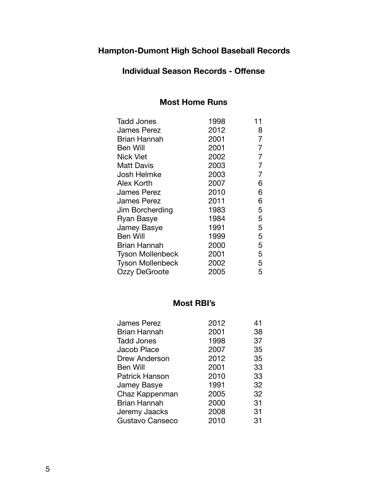### **Individual Season Records - Offense**

### **Most Home Runs**

| 1998 | 11 |
|------|----|
| 2012 | 8  |
| 2001 | 7  |
| 2001 | 7  |
| 2002 | 7  |
| 2003 | 7  |
| 2003 | 7  |
| 2007 | 6  |
| 2010 | 6  |
| 2011 | 6  |
| 1983 | 5  |
| 1984 | 5  |
| 1991 | 5  |
| 1999 | 5  |
| 2000 | 5  |
| 2001 | 5  |
| 2002 | 5  |
| 2005 | 5  |
|      |    |

#### **Most RBI's**

| <b>James Perez</b>    | 2012 | 41 |
|-----------------------|------|----|
| <b>Brian Hannah</b>   | 2001 | 38 |
| <b>Tadd Jones</b>     | 1998 | 37 |
| Jacob Place           | 2007 | 35 |
| Drew Anderson         | 2012 | 35 |
| <b>Ben Will</b>       | 2001 | 33 |
| <b>Patrick Hanson</b> | 2010 | 33 |
| Jamey Basye           | 1991 | 32 |
| Chaz Kappenman        | 2005 | 32 |
| <b>Brian Hannah</b>   | 2000 | 31 |
| Jeremy Jaacks         | 2008 | 31 |
| Gustavo Canseco       | 2010 | 31 |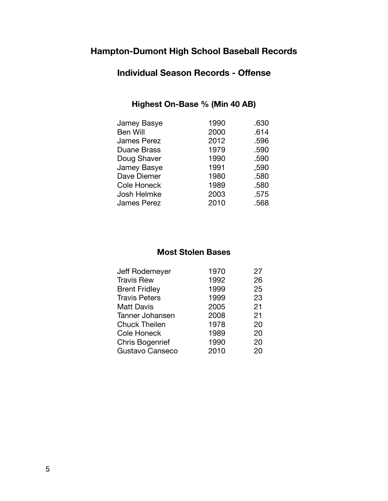## **Individual Season Records - Offense**

### **Highest On-Base % (Min 40 AB)**

| Jamey Basye        | 1990 | .630 |
|--------------------|------|------|
| <b>Ben Will</b>    | 2000 | .614 |
| <b>James Perez</b> | 2012 | .596 |
| <b>Duane Brass</b> | 1979 | .590 |
| Doug Shaver        | 1990 | .590 |
| Jamey Basye        | 1991 | .590 |
| Dave Diemer        | 1980 | .580 |
| <b>Cole Honeck</b> | 1989 | .580 |
| Josh Helmke        | 2003 | .575 |
| <b>James Perez</b> | 2010 | .568 |
|                    |      |      |

### **Most Stolen Bases**

| Jeff Rodemeyer         | 1970 | 27 |
|------------------------|------|----|
| <b>Travis Rew</b>      | 1992 | 26 |
| <b>Brent Fridley</b>   | 1999 | 25 |
| <b>Travis Peters</b>   | 1999 | 23 |
| <b>Matt Davis</b>      | 2005 | 21 |
| Tanner Johansen        | 2008 | 21 |
| <b>Chuck Theilen</b>   | 1978 | 20 |
| Cole Honeck            | 1989 | 20 |
| <b>Chris Bogenrief</b> | 1990 | 20 |
| Gustavo Canseco        | 2010 | 20 |
|                        |      |    |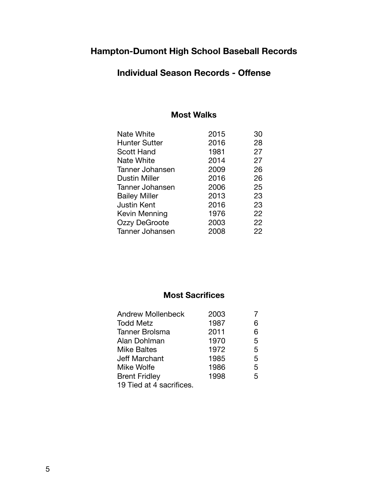## **Individual Season Records - Offense**

#### **Most Walks**

| <b>Nate White</b>    | 2015 | 30 |
|----------------------|------|----|
| <b>Hunter Sutter</b> | 2016 | 28 |
| Scott Hand           | 1981 | 27 |
| <b>Nate White</b>    | 2014 | 27 |
| Tanner Johansen      | 2009 | 26 |
| <b>Dustin Miller</b> | 2016 | 26 |
| Tanner Johansen      | 2006 | 25 |
| <b>Bailey Miller</b> | 2013 | 23 |
| Justin Kent          | 2016 | 23 |
| Kevin Menning        | 1976 | 22 |
| Ozzy DeGroote        | 2003 | 22 |
| Tanner Johansen      | 2008 | 22 |

### **Most Sacrifices**

| <b>Andrew Mollenbeck</b> | 2003 |   |
|--------------------------|------|---|
| <b>Todd Metz</b>         | 1987 | 6 |
| <b>Tanner Brolsma</b>    | 2011 | 6 |
| Alan Dohlman             | 1970 | 5 |
| <b>Mike Baltes</b>       | 1972 | 5 |
| Jeff Marchant            | 1985 | 5 |
| <b>Mike Wolfe</b>        | 1986 | 5 |
| <b>Brent Fridley</b>     | 1998 | 5 |
| 19 Tied at 4 sacrifices. |      |   |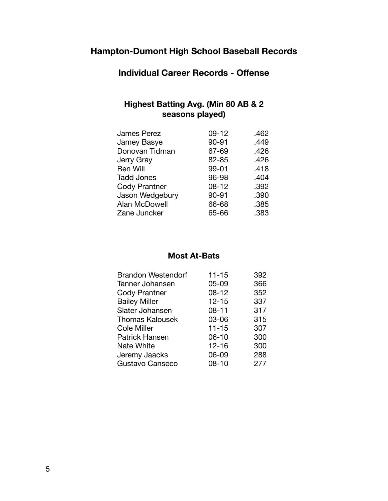**Individual Career Records - Offense** 

### **Highest Batting Avg. (Min 80 AB & 2 seasons played)**

| $09 - 12$ | .462 |
|-----------|------|
| 90-91     | .449 |
| 67-69     | .426 |
| 82-85     | .426 |
| 99-01     | .418 |
| 96-98     | .404 |
| $08 - 12$ | .392 |
| 90-91     | .390 |
| 66-68     | .385 |
| 65-66     | .383 |
|           |      |

### **Most At-Bats**

| <b>Brandon Westendorf</b> | $11 - 15$ | 392 |
|---------------------------|-----------|-----|
| Tanner Johansen           | $05 - 09$ | 366 |
| Cody Prantner             | 08-12     | 352 |
| <b>Bailey Miller</b>      | $12 - 15$ | 337 |
| Slater Johansen           | $08 - 11$ | 317 |
| <b>Thomas Kalousek</b>    | 03-06     | 315 |
| Cole Miller               | $11 - 15$ | 307 |
| <b>Patrick Hansen</b>     | $06 - 10$ | 300 |
| <b>Nate White</b>         | $12 - 16$ | 300 |
| Jeremy Jaacks             | 06-09     | 288 |
| Gustavo Canseco           | 08-10     | 277 |